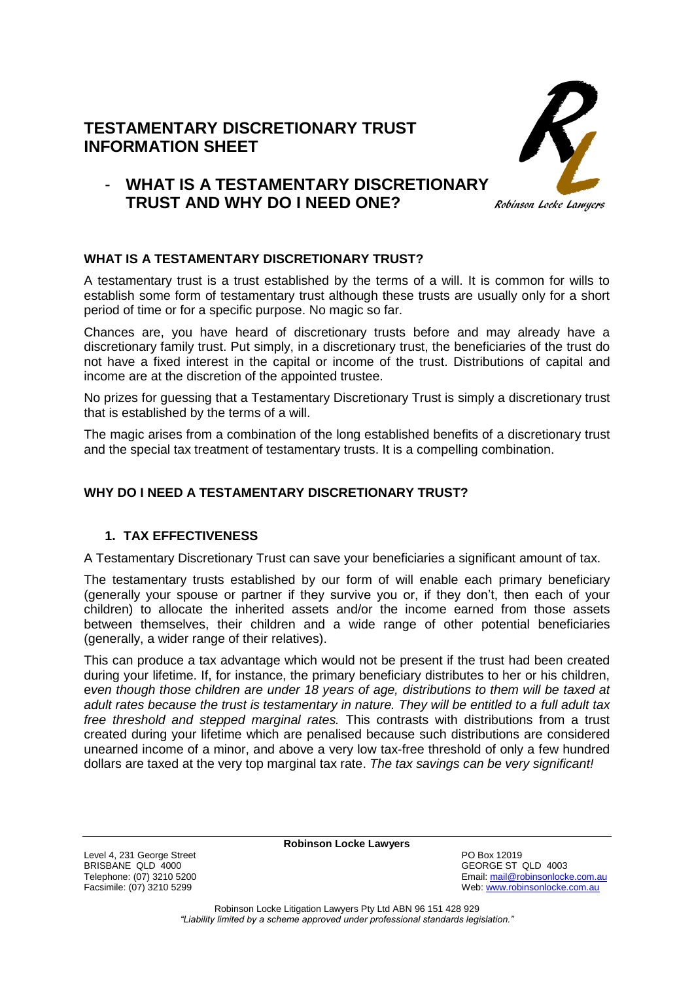## **TESTAMENTARY DISCRETIONARY TRUST INFORMATION SHEET**



# - **WHAT IS A TESTAMENTARY DISCRETIONARY TRUST AND WHY DO I NEED ONE?**

## **WHAT IS A TESTAMENTARY DISCRETIONARY TRUST?**

A testamentary trust is a trust established by the terms of a will. It is common for wills to establish some form of testamentary trust although these trusts are usually only for a short period of time or for a specific purpose. No magic so far.

Chances are, you have heard of discretionary trusts before and may already have a discretionary family trust. Put simply, in a discretionary trust, the beneficiaries of the trust do not have a fixed interest in the capital or income of the trust. Distributions of capital and income are at the discretion of the appointed trustee.

No prizes for guessing that a Testamentary Discretionary Trust is simply a discretionary trust that is established by the terms of a will.

The magic arises from a combination of the long established benefits of a discretionary trust and the special tax treatment of testamentary trusts. It is a compelling combination.

## **WHY DO I NEED A TESTAMENTARY DISCRETIONARY TRUST?**

## **1. TAX EFFECTIVENESS**

A Testamentary Discretionary Trust can save your beneficiaries a significant amount of tax.

The testamentary trusts established by our form of will enable each primary beneficiary (generally your spouse or partner if they survive you or, if they don't, then each of your children) to allocate the inherited assets and/or the income earned from those assets between themselves, their children and a wide range of other potential beneficiaries (generally, a wider range of their relatives).

This can produce a tax advantage which would not be present if the trust had been created during your lifetime. If, for instance, the primary beneficiary distributes to her or his children, e*ven though those children are under 18 years of age, distributions to them will be taxed at adult rates because the trust is testamentary in nature. They will be entitled to a full adult tax free threshold and stepped marginal rates.* This contrasts with distributions from a trust created during your lifetime which are penalised because such distributions are considered unearned income of a minor, and above a very low tax-free threshold of only a few hundred dollars are taxed at the very top marginal tax rate. *The tax savings can be very significant!*

**Robinson Locke Lawyers**

Level 4, 231 George Street **PO Box 12019**<br>
BRISBANE QLD 4000 BRISBANE QLD 4000<br>
Telephone: (07) 3210 5200<br>
Telephone: (07) 3210 5200

Telephone: (07) 3210 5200<br>
Facsimile: (07) 3210 5299<br>
Facsimile: (07) 3210 5299 Web: [www.robinsonlocke.com.au](http://www.robinsonlocke.com.au/)

> Robinson Locke Litigation Lawyers Pty Ltd ABN 96 151 428 929 *"Liability limited by a scheme approved under professional standards legislation."*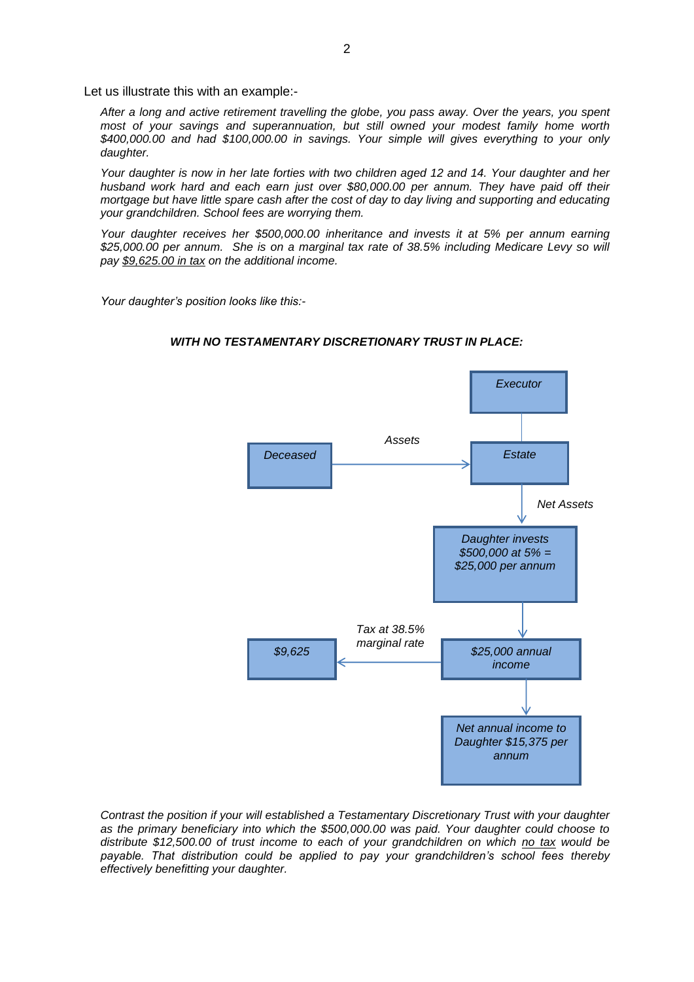Let us illustrate this with an example:-

*After a long and active retirement travelling the globe, you pass away. Over the years, you spent most of your savings and superannuation, but still owned your modest family home worth \$400,000.00 and had \$100,000.00 in savings. Your simple will gives everything to your only daughter.*

*Your daughter is now in her late forties with two children aged 12 and 14. Your daughter and her husband work hard and each earn just over \$80,000.00 per annum. They have paid off their mortgage but have little spare cash after the cost of day to day living and supporting and educating your grandchildren. School fees are worrying them.* 

*Your daughter receives her \$500,000.00 inheritance and invests it at 5% per annum earning \$25,000.00 per annum. She is on a marginal tax rate of 38.5% including Medicare Levy so will pay \$9,625.00 in tax on the additional income.*

*Your daughter's position looks like this:-*



#### *WITH NO TESTAMENTARY DISCRETIONARY TRUST IN PLACE:*

*Contrast the position if your will established a Testamentary Discretionary Trust with your daughter as the primary beneficiary into which the \$500,000.00 was paid. Your daughter could choose to distribute \$12,500.00 of trust income to each of your grandchildren on which no tax would be payable. That distribution could be applied to pay your grandchildren's school fees thereby effectively benefitting your daughter.*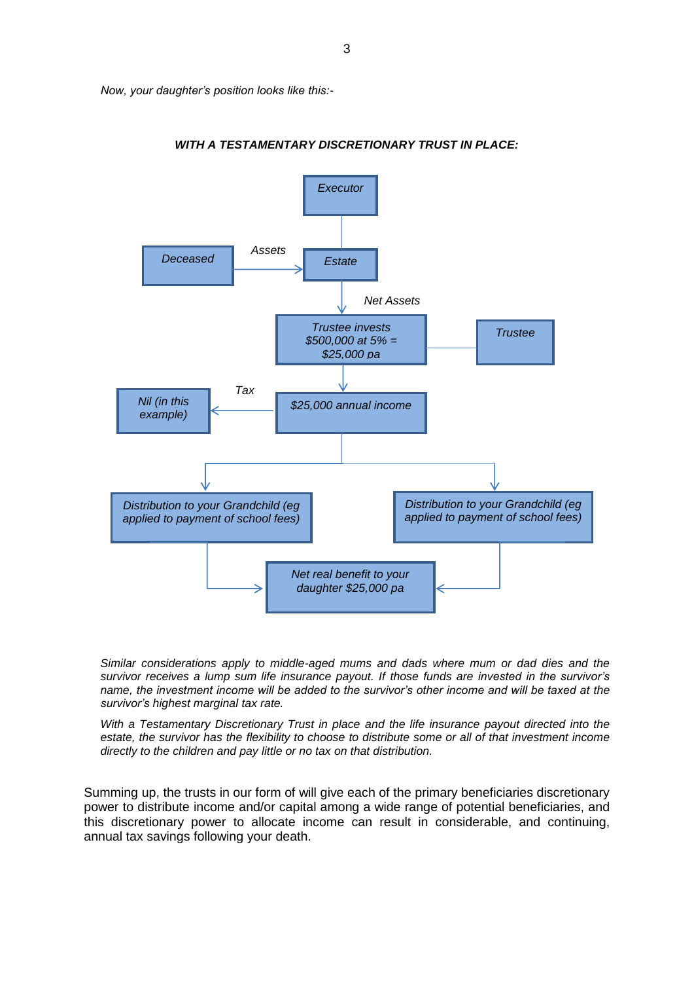*Now, your daughter's position looks like this:-*



*WITH A TESTAMENTARY DISCRETIONARY TRUST IN PLACE:*

*Similar considerations apply to middle-aged mums and dads where mum or dad dies and the survivor receives a lump sum life insurance payout. If those funds are invested in the survivor's name, the investment income will be added to the survivor's other income and will be taxed at the survivor's highest marginal tax rate.* 

*With a Testamentary Discretionary Trust in place and the life insurance payout directed into the estate, the survivor has the flexibility to choose to distribute some or all of that investment income directly to the children and pay little or no tax on that distribution.*

Summing up, the trusts in our form of will give each of the primary beneficiaries discretionary power to distribute income and/or capital among a wide range of potential beneficiaries, and this discretionary power to allocate income can result in considerable, and continuing, annual tax savings following your death.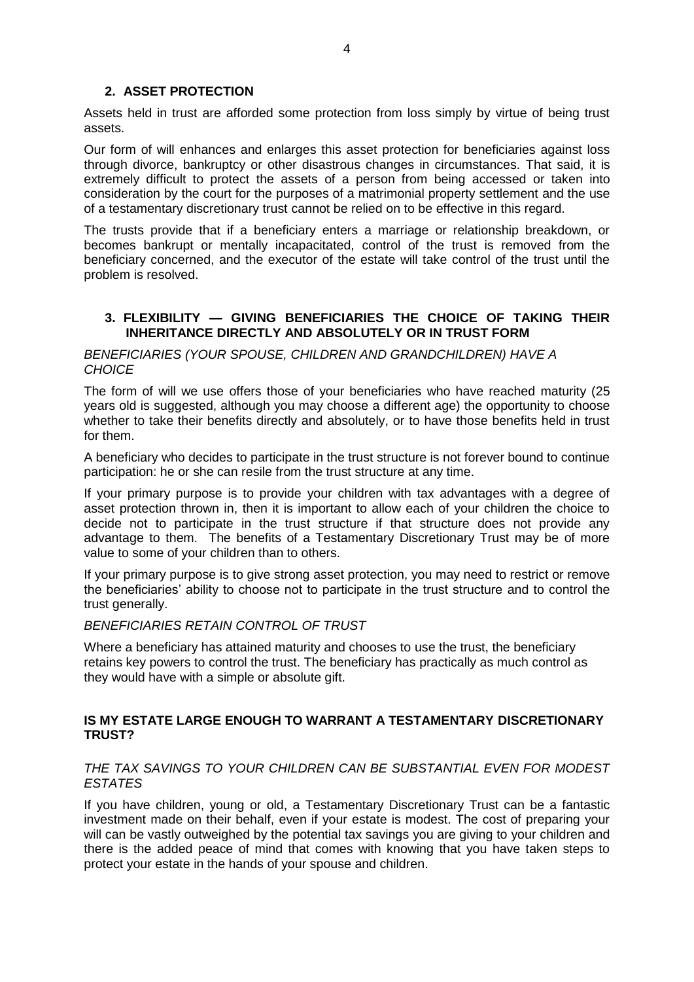#### **2. ASSET PROTECTION**

Assets held in trust are afforded some protection from loss simply by virtue of being trust assets.

Our form of will enhances and enlarges this asset protection for beneficiaries against loss through divorce, bankruptcy or other disastrous changes in circumstances. That said, it is extremely difficult to protect the assets of a person from being accessed or taken into consideration by the court for the purposes of a matrimonial property settlement and the use of a testamentary discretionary trust cannot be relied on to be effective in this regard.

The trusts provide that if a beneficiary enters a marriage or relationship breakdown, or becomes bankrupt or mentally incapacitated, control of the trust is removed from the beneficiary concerned, and the executor of the estate will take control of the trust until the problem is resolved.

#### **3. FLEXIBILITY — GIVING BENEFICIARIES THE CHOICE OF TAKING THEIR INHERITANCE DIRECTLY AND ABSOLUTELY OR IN TRUST FORM**

#### *BENEFICIARIES (YOUR SPOUSE, CHILDREN AND GRANDCHILDREN) HAVE A CHOICE*

The form of will we use offers those of your beneficiaries who have reached maturity (25 years old is suggested, although you may choose a different age) the opportunity to choose whether to take their benefits directly and absolutely, or to have those benefits held in trust for them.

A beneficiary who decides to participate in the trust structure is not forever bound to continue participation: he or she can resile from the trust structure at any time.

If your primary purpose is to provide your children with tax advantages with a degree of asset protection thrown in, then it is important to allow each of your children the choice to decide not to participate in the trust structure if that structure does not provide any advantage to them. The benefits of a Testamentary Discretionary Trust may be of more value to some of your children than to others.

If your primary purpose is to give strong asset protection, you may need to restrict or remove the beneficiaries' ability to choose not to participate in the trust structure and to control the trust generally.

#### *BENEFICIARIES RETAIN CONTROL OF TRUST*

Where a beneficiary has attained maturity and chooses to use the trust, the beneficiary retains key powers to control the trust. The beneficiary has practically as much control as they would have with a simple or absolute gift.

#### **IS MY ESTATE LARGE ENOUGH TO WARRANT A TESTAMENTARY DISCRETIONARY TRUST?**

#### *THE TAX SAVINGS TO YOUR CHILDREN CAN BE SUBSTANTIAL EVEN FOR MODEST ESTATES*

If you have children, young or old, a Testamentary Discretionary Trust can be a fantastic investment made on their behalf, even if your estate is modest. The cost of preparing your will can be vastly outweighed by the potential tax savings you are giving to your children and there is the added peace of mind that comes with knowing that you have taken steps to protect your estate in the hands of your spouse and children.